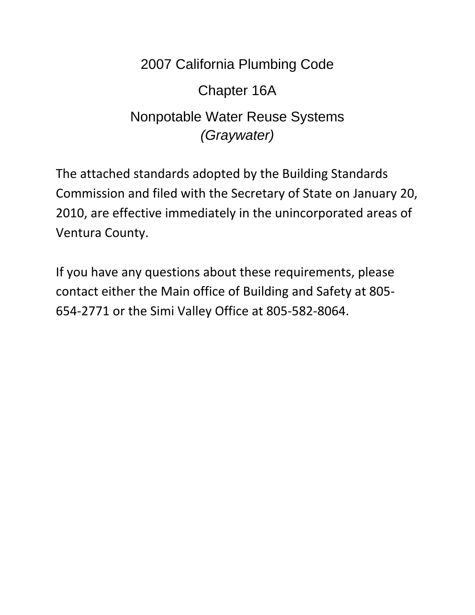# 2007 California Plumbing Code Chapter 16A Nonpotable Water Reuse Systems *(Graywater)*

The attached standards adopted by the Building Standards Commission and filed with the Secretary of State on January 20, 2010, are effective immediately in the unincorporated areas of Ventura County.

If you have any questions about these requirements, please contact either the Main office of Building and Safety at 805‐ 654‐2771 or the Simi Valley Office at 805‐582‐8064.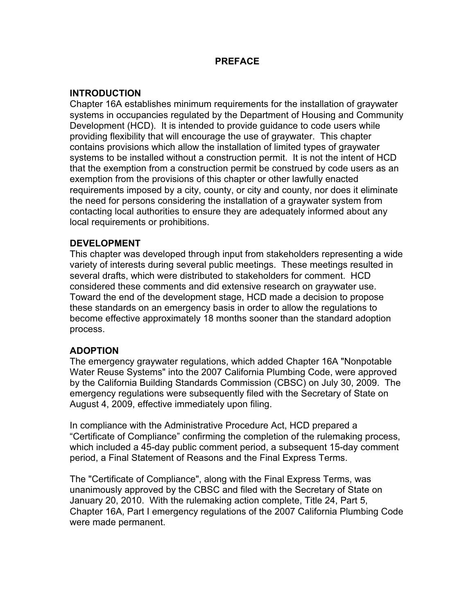# **PREFACE**

# **INTRODUCTION**

Chapter 16A establishes minimum requirements for the installation of graywater systems in occupancies regulated by the Department of Housing and Community Development (HCD). It is intended to provide guidance to code users while providing flexibility that will encourage the use of graywater. This chapter contains provisions which allow the installation of limited types of graywater systems to be installed without a construction permit. It is not the intent of HCD that the exemption from a construction permit be construed by code users as an exemption from the provisions of this chapter or other lawfully enacted requirements imposed by a city, county, or city and county, nor does it eliminate the need for persons considering the installation of a graywater system from contacting local authorities to ensure they are adequately informed about any local requirements or prohibitions.

# **DEVELOPMENT**

This chapter was developed through input from stakeholders representing a wide variety of interests during several public meetings. These meetings resulted in several drafts, which were distributed to stakeholders for comment. HCD considered these comments and did extensive research on graywater use. Toward the end of the development stage, HCD made a decision to propose these standards on an emergency basis in order to allow the regulations to become effective approximately 18 months sooner than the standard adoption process.

# **ADOPTION**

The emergency graywater regulations, which added Chapter 16A "Nonpotable Water Reuse Systems" into the 2007 California Plumbing Code, were approved by the California Building Standards Commission (CBSC) on July 30, 2009. The emergency regulations were subsequently filed with the Secretary of State on August 4, 2009, effective immediately upon filing.

In compliance with the Administrative Procedure Act, HCD prepared a "Certificate of Compliance" confirming the completion of the rulemaking process, which included a 45-day public comment period, a subsequent 15-day comment period, a Final Statement of Reasons and the Final Express Terms.

The "Certificate of Compliance", along with the Final Express Terms, was unanimously approved by the CBSC and filed with the Secretary of State on January 20, 2010. With the rulemaking action complete, Title 24, Part 5, Chapter 16A, Part I emergency regulations of the 2007 California Plumbing Code were made permanent.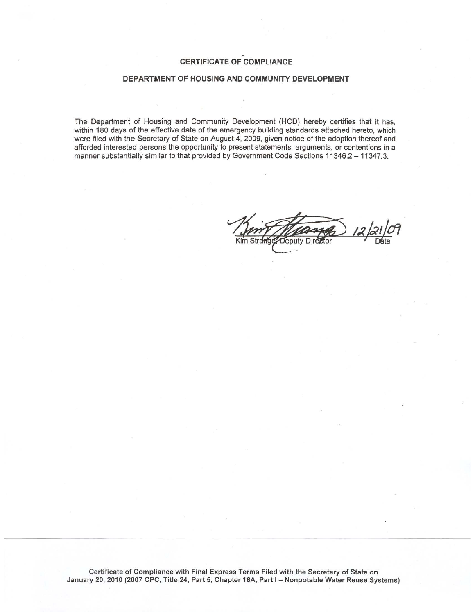# **CERTIFICATE OF COMPLIANCE**

# DEPARTMENT OF HOUSING AND COMMUNITY DEVELOPMENT

The Department of Housing and Community Development (HCD) hereby certifies that it has, within 180 days of the effective date of the emergency building standards attached hereto, which were filed with the Secretary of State on August 4, 2009, given notice of the adoption thereof and afforded interested persons the opportunity to present statements, arguments, or contentions in a manner substantially similar to that provided by Government Code Sections 11346.2 - 11347.3.

Director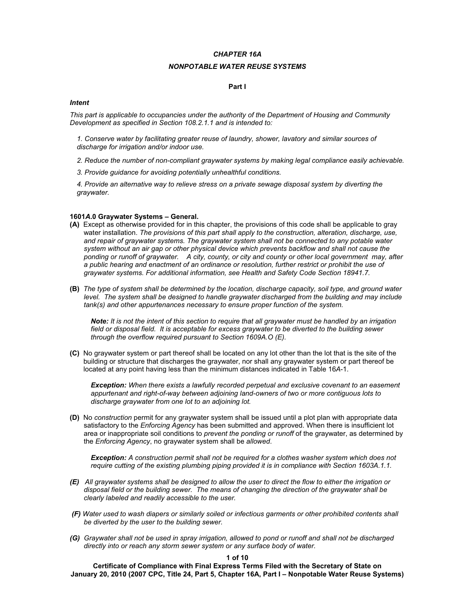# *CHAPTER 16A*

# *NONPOTABLE WATER REUSE SYSTEMS*

# **Part I**

# *Intent*

*This part is applicable to occupancies under the authority of the Department of Housing and Community Development as specified in Section 108.2.1.1 and is intended to:* 

*1. Conserve water by facilitating greater reuse of laundry, shower, lavatory and similar sources of discharge for irrigation and/or indoor use.* 

- *2. Reduce the number of non-compliant graywater systems by making legal compliance easily achievable.*
- *3. Provide guidance for avoiding potentially unhealthful conditions.*

*4. Provide an alternative way to relieve stress on a private sewage disposal system by diverting the graywater.* 

# **1601***A***.0 Graywater Systems – General.**

- **(A)** Except as otherwise provided for in this chapter, the provisions of this code shall be applicable to gray water installation. *The provisions of this part shall apply to the construction, alteration, discharge, use, and repair of graywater systems. The graywater system shall not be connected to any potable water system without an air gap or other physical device which prevents backflow and shall not cause the ponding or runoff of graywater. A city, county, or city and county or other local government may, after a public hearing and enactment of an ordinance or resolution, further restrict or prohibit the use of graywater systems. For additional information, see Health and Safety Code Section 18941.7.*
- **(B)** *The type of system shall be determined by the location, discharge capacity, soil type, and ground water level. The system shall be designed to handle graywater discharged from the building and may include tank(s) and other appurtenances necessary to ensure proper function of the system.*

*Note: It is not the intent of this section to require that all graywater must be handled by an irrigation field or disposal field. It is acceptable for excess graywater to be diverted to the building sewer through the overflow required pursuant to Section 1609A.O (E).*

**(C)** No graywater system or part thereof shall be located on any lot other than the lot that is the site of the building or structure that discharges the graywater, nor shall any graywater system or part thereof be located at any point having less than the minimum distances indicated in Table 16*A*-1.

*Exception: When there exists a lawfully recorded perpetual and exclusive covenant to an easement appurtenant and right-of-way between adjoining land-owners of two or more contiguous lots to discharge graywater from one lot to an adjoining lot.*

**(D)** No *construction* permit for any graywater system shall be issued until a plot plan with appropriate data satisfactory to the *Enforcing Agency* has been submitted and approved. When there is insufficient lot area or inappropriate soil conditions to *prevent the ponding or runoff* of the graywater, as determined by the *Enforcing Agency*, no graywater system shall be *allowed*.

*Exception: A construction permit shall not be required for a clothes washer system which does not require cutting of the existing plumbing piping provided it is in compliance with Section 1603A.1.1.* 

- *(E) All graywater systems shall be designed to allow the user to direct the flow to either the irrigation or disposal field or the building sewer. The means of changing the direction of the graywater shall be clearly labeled and readily accessible to the user.*
- *(F) Water used to wash diapers or similarly soiled or infectious garments or other prohibited contents shall be diverted by the user to the building sewer.*
- *(G) Graywater shall not be used in spray irrigation, allowed to pond or runoff and shall not be discharged directly into or reach any storm sewer system or any surface body of water.*

#### **1 of 10**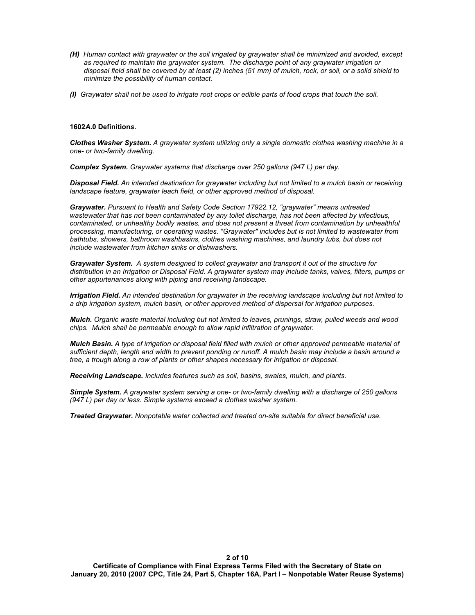- *(H) Human contact with graywater or the soil irrigated by graywater shall be minimized and avoided, except as required to maintain the graywater system. The discharge point of any graywater irrigation or disposal field shall be covered by at least (2) inches (51 mm) of mulch, rock, or soil, or a solid shield to minimize the possibility of human contact.*
- *(I) Graywater shall not be used to irrigate root crops or edible parts of food crops that touch the soil.*

## **1602***A***.0 Definition***s***.**

*Clothes Washer System. A graywater system utilizing only a single domestic clothes washing machine in a one- or two-family dwelling.* 

*Complex System. Graywater systems that discharge over 250 gallons (947 L) per day.* 

*Disposal Field. An intended destination for graywater including but not limited to a mulch basin or receiving landscape feature, graywater leach field, or other approved method of disposal.* 

*Graywater. Pursuant to Health and Safety Code Section 17922.12, "graywater" means untreated wastewater that has not been contaminated by any toilet discharge, has not been affected by infectious, contaminated, or unhealthy bodily wastes, and does not present a threat from contamination by unhealthful processing, manufacturing, or operating wastes. "Graywater" includes but is not limited to wastewater from bathtubs, showers, bathroom washbasins, clothes washing machines, and laundry tubs, but does not include wastewater from kitchen sinks or dishwashers.* 

*Graywater System. A system designed to collect graywater and transport it out of the structure for distribution in an Irrigation or Disposal Field. A graywater system may include tanks, valves, filters, pumps or other appurtenances along with piping and receiving landscape.* 

*Irrigation Field. An intended destination for graywater in the receiving landscape including but not limited to a drip irrigation system, mulch basin, or other approved method of dispersal for irrigation purposes.* 

*Mulch. Organic waste material including but not limited to leaves, prunings, straw, pulled weeds and wood chips. Mulch shall be permeable enough to allow rapid infiltration of graywater.* 

*Mulch Basin. A type of irrigation or disposal field filled with mulch or other approved permeable material of sufficient depth, length and width to prevent ponding or runoff. A mulch basin may include a basin around a tree, a trough along a row of plants or other shapes necessary for irrigation or disposal.* 

*Receiving Landscape. Includes features such as soil, basins, swales, mulch, and plants.*

*Simple System. A graywater system serving a one- or two-family dwelling with a discharge of 250 gallons (947 L) per day or less. Simple systems exceed a clothes washer system.* 

*Treated Graywater. Nonpotable water collected and treated on-site suitable for direct beneficial use.*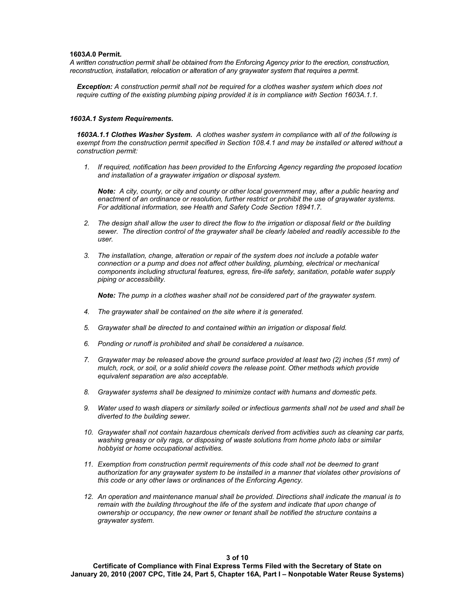## **1603***A***.0 Permit***.*

*A written construction permit shall be obtained from the Enforcing Agency prior to the erection, construction, reconstruction, installation, relocation or alteration of any graywater system that requires a permit.*

*Exception: A construction permit shall not be required for a clothes washer system which does not require cutting of the existing plumbing piping provided it is in compliance with Section 1603A.1.1.* 

#### *1603A.1 System Requirements.*

*1603A.1.1 Clothes Washer System. A clothes washer system in compliance with all of the following is exempt from the construction permit specified in Section 108.4.1 and may be installed or altered without a construction permit:* 

*1. If required, notification has been provided to the Enforcing Agency regarding the proposed location and installation of a graywater irrigation or disposal system.* 

*Note: A city, county, or city and county or other local government may, after a public hearing and enactment of an ordinance or resolution, further restrict or prohibit the use of graywater systems. For additional information, see Health and Safety Code Section 18941.7.* 

- *2. The design shall allow the user to direct the flow to the irrigation or disposal field or the building sewer. The direction control of the graywater shall be clearly labeled and readily accessible to the user.*
- *3. The installation, change, alteration or repair of the system does not include a potable water connection or a pump and does not affect other building, plumbing, electrical or mechanical components including structural features, egress, fire-life safety, sanitation, potable water supply piping or accessibility.*

*Note: The pump in a clothes washer shall not be considered part of the graywater system.* 

- *4. The graywater shall be contained on the site where it is generated.*
- *5. Graywater shall be directed to and contained within an irrigation or disposal field.*
- *6. Ponding or runoff is prohibited and shall be considered a nuisance.*
- *7. Graywater may be released above the ground surface provided at least two (2) inches (51 mm) of mulch, rock, or soil, or a solid shield covers the release point. Other methods which provide equivalent separation are also acceptable.*
- *8. Graywater systems shall be designed to minimize contact with humans and domestic pets.*
- *9. Water used to wash diapers or similarly soiled or infectious garments shall not be used and shall be diverted to the building sewer.*
- *10. Graywater shall not contain hazardous chemicals derived from activities such as cleaning car parts, washing greasy or oily rags, or disposing of waste solutions from home photo labs or similar hobbyist or home occupational activities.*
- *11. Exemption from construction permit requirements of this code shall not be deemed to grant authorization for any graywater system to be installed in a manner that violates other provisions of this code or any other laws or ordinances of the Enforcing Agency.*
- *12. An operation and maintenance manual shall be provided. Directions shall indicate the manual is to remain with the building throughout the life of the system and indicate that upon change of ownership or occupancy, the new owner or tenant shall be notified the structure contains a graywater system.*

**3 of 10**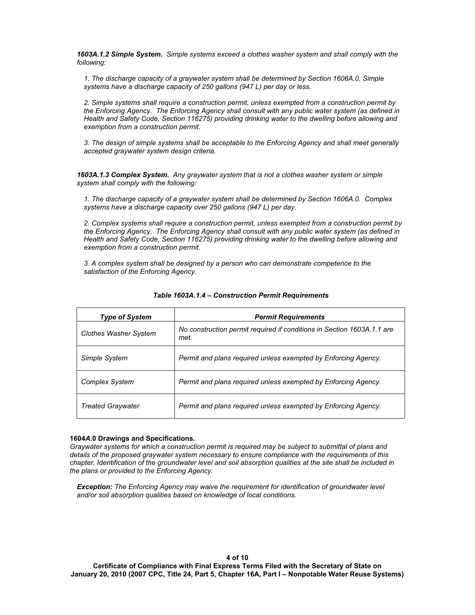*1603A.1.2 Simple System. Simple systems exceed a clothes washer system and shall comply with the following:*

*1. The discharge capacity of a graywater system shall be determined by Section 1606A.0. Simple systems have a discharge capacity of 250 gallons (947 L) per day or less.* 

*2. Simple systems shall require a construction permit, unless exempted from a construction permit by the Enforcing Agency. The Enforcing Agency shall consult with any public water system (as defined in Health and Safety Code, Section 116275) providing drinking water to the dwelling before allowing and exemption from a construction permit.* 

*3. The design of simple systems shall be acceptable to the Enforcing Agency and shall meet generally accepted graywater system design criteria.* 

*1603A.1.3 Complex System. Any graywater system that is not a clothes washer system or simple system shall comply with the following:* 

*1. The discharge capacity of a graywater system shall be determined by Section 1606A.0. Complex systems have a discharge capacity over 250 gallons (947 L) per day.* 

*2. Complex systems shall require a construction permit, unless exempted from a construction permit by the Enforcing Agency. The Enforcing Agency shall consult with any public water system (as defined in Health and Safety Code, Section 116275) providing drinking water to the dwelling before allowing and exemption from a construction permit.* 

*3. A complex system shall be designed by a person who can demonstrate competence to the satisfaction of the Enforcing Agency.* 

| <b>Type of System</b>        | <b>Permit Requirements</b>                                                     |  |
|------------------------------|--------------------------------------------------------------------------------|--|
| <b>Clothes Washer System</b> | No construction permit required if conditions in Section 1603A.1.1 are<br>met. |  |
| Simple System                | Permit and plans required unless exempted by Enforcing Agency.                 |  |
| <b>Complex System</b>        | Permit and plans required unless exempted by Enforcing Agency.                 |  |
| <b>Treated Graywater</b>     | Permit and plans required unless exempted by Enforcing Agency.                 |  |

# *Table 1603A.1.4 – Construction Permit Requirements*

## **1604***A***.0 Drawings and Specifications.**

*Graywater systems for which a construction permit is required may be subject to submittal of plans and details of the proposed graywater system necessary to ensure compliance with the requirements of this chapter. Identification of the groundwater level and soil absorption qualities at the site shall be included in the plans or provided to the Enforcing Agency.* 

*Exception: The Enforcing Agency may waive the requirement for identification of groundwater level and/or soil absorption qualities based on knowledge of local conditions.*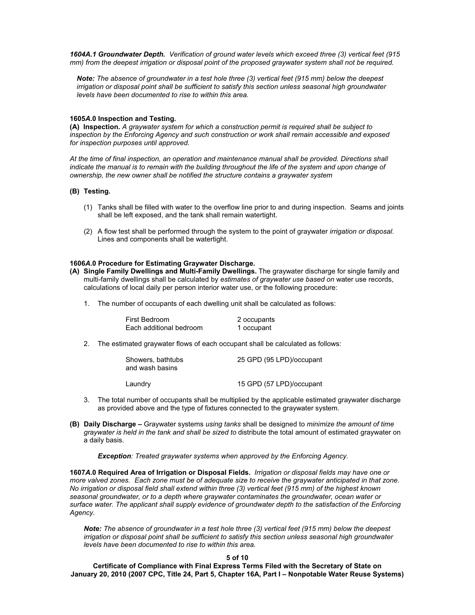*1604A.1 Groundwater Depth. Verification of ground water levels which exceed three (3) vertical feet (915 mm) from the deepest irrigation or disposal point of the proposed graywater system shall not be required.* 

*Note: The absence of groundwater in a test hole three (3) vertical feet (915 mm) below the deepest irrigation or disposal point shall be sufficient to satisfy this section unless seasonal high groundwater levels have been documented to rise to within this area.* 

#### **1605***A***.0 Inspection and Testing.**

**(A) Inspection.** *A graywater system for which a construction permit is required shall be subject to inspection by the Enforcing Agency and such construction or work shall remain accessible and exposed for inspection purposes until approved.* 

*At the time of final inspection, an operation and maintenance manual shall be provided. Directions shall*  indicate the manual is to remain with the building throughout the life of the system and upon change of *ownership, the new owner shall be notified the structure contains a graywater system* 

# **(B) Testing.**

- (1) Tanks shall be filled with water to the overflow line prior to and during inspection. Seams and joints shall be left exposed, and the tank shall remain watertight.
- (2) A flow test shall be performed through the system to the point of graywater *irrigation or disposal*. Lines and components shall be watertight.

# **1606***A***.0 Procedure for Estimating Graywater Discharge.**

- **(A) Single Family Dwellings and Multi-Family Dwellings.** The graywater discharge for single family and multi-family dwellings shall be calculated by *estimates of graywater use based on* water use records, calculations of local daily per person interior water use, or the following procedure:
	- 1. The number of occupants of each dwelling unit shall be calculated as follows:

| First Bedroom           | 2 occupants |
|-------------------------|-------------|
| Each additional bedroom | 1 occupant  |

2. The estimated graywater flows of each occupant shall be calculated as follows:

| Showers, bathtubs<br>and wash basins | 25 GPD (95 LPD)/occupant |
|--------------------------------------|--------------------------|
| Laundry                              | 15 GPD (57 LPD)/occupant |

- 3. The total number of occupants shall be multiplied by the applicable estimated graywater discharge as provided above and the type of fixtures connected to the graywater system.
- **(B) Daily Discharge** Graywater systems *using tanks* shall be designed to *minimize the amount of time graywater is held in the tank and shall be sized to* distribute the total amount of estimated graywater on a daily basis.

*Exception: Treated graywater systems when approved by the Enforcing Agency.* 

**1607***A***.0 Required Area of Irrigation or Disposal Fields.** *Irrigation or disposal fields may have one or more valved zones. Each zone must be of adequate size to receive the graywater anticipated in that zone. No irrigation or disposal field shall extend within three (3) vertical feet (915 mm) of the highest known seasonal groundwater, or to a depth where graywater contaminates the groundwater, ocean water or surface water. The applicant shall supply evidence of groundwater depth to the satisfaction of the Enforcing Agency.*

*Note: The absence of groundwater in a test hole three (3) vertical feet (915 mm) below the deepest irrigation or disposal point shall be sufficient to satisfy this section unless seasonal high groundwater levels have been documented to rise to within this area.* 

#### **5 of 10**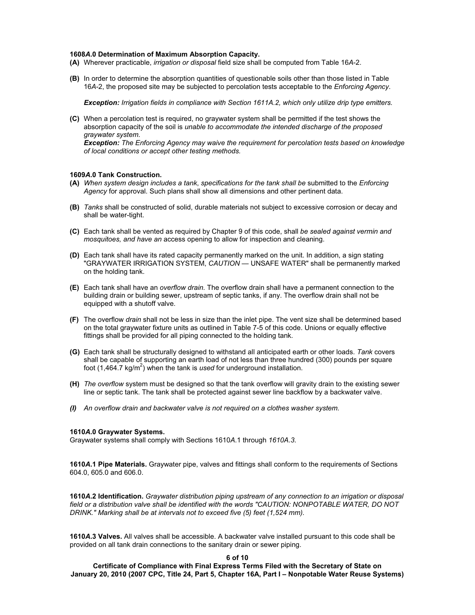## **1608***A***.0 Determination of Maximum Absorption Capacity.**

- **(A)** Wherever practicable, *irrigation or disposal* field size shall be computed from Table 16*A*-2.
- **(B)** In order to determine the absorption quantities of questionable soils other than those listed in Table 16*A*-2, the proposed site may be subjected to percolation tests acceptable to the *Enforcing Agency*.

*Exception: Irrigation fields in compliance with Section 1611A.2, which only utilize drip type emitters.* 

**(C)** When a percolation test is required, no graywater system shall be permitted if the test shows the absorption capacity of the soil is *unable to accommodate the intended discharge of the proposed graywater system*.

*Exception: The Enforcing Agency may waive the requirement for percolation tests based on knowledge of local conditions or accept other testing methods.* 

# **1609***A***.0 Tank Construction.**

- **(A)** *When system design includes a tank*, *specifications for the tank shall be* submitted to the *Enforcing Agency* for approval. Such plans shall show all dimensions and other pertinent data.
- **(B)** *Tanks* shall be constructed of solid, durable materials not subject to excessive corrosion or decay and shall be water-tight.
- **(C)** Each tank shall be vented as required by Chapter 9 of this code, shall *be sealed against vermin and mosquitoes, and have an* access opening to allow for inspection and cleaning.
- **(D)** Each tank shall have its rated capacity permanently marked on the unit. In addition, a sign stating "GRAYWATER IRRIGATION SYSTEM, *CAUTION* — UNSAFE WATER" shall be permanently marked on the holding tank.
- **(E)** Each tank shall have an *overflow drain*. The overflow drain shall have a permanent connection to the building drain or building sewer, upstream of septic tanks, if any. The overflow drain shall not be equipped with a shutoff valve.
- **(F)** The overflow *drain* shall not be less in size than the inlet pipe. The vent size shall be determined based on the total graywater fixture units as outlined in Table 7-5 of this code. Unions or equally effective fittings shall be provided for all piping connected to the holding tank.
- **(G)** Each tank shall be structurally designed to withstand all anticipated earth or other loads. *Tank* covers shall be capable of supporting an earth load of not less than three hundred (300) pounds per square foot (1,464.7 kg/m<sup>2</sup>) when the tank is *used* for underground installation.
- **(H)** *The overflow* system must be designed so that the tank overflow will gravity drain to the existing sewer line or septic tank. The tank shall be protected against sewer line backflow by a backwater valve.
- *(I) An overflow drain and backwater valve is not required on a clothes washer system.*

#### **1610***A***.0 Graywater Systems.**

Graywater systems shall comply with Sections 1610*A*.1 through *1610A.3*.

**1610***A***.1 Pipe Materials.** Graywater pipe, valves and fittings shall conform to the requirements of Sections 604.0, 605.0 and 606.0.

**1610***A***.2 Identification.** *Graywater distribution piping upstream of any connection to an irrigation or disposal field or a distribution valve shall be identified with the words "CAUTION: NONPOTABLE WATER, DO NOT DRINK." Marking shall be at intervals not to exceed five (5) feet (1,524 mm).* 

**1610***A***.3 Valves.** All valves shall be accessible. A backwater valve installed pursuant to this code shall be provided on all tank drain connections to the sanitary drain or sewer piping.

#### **6 of 10**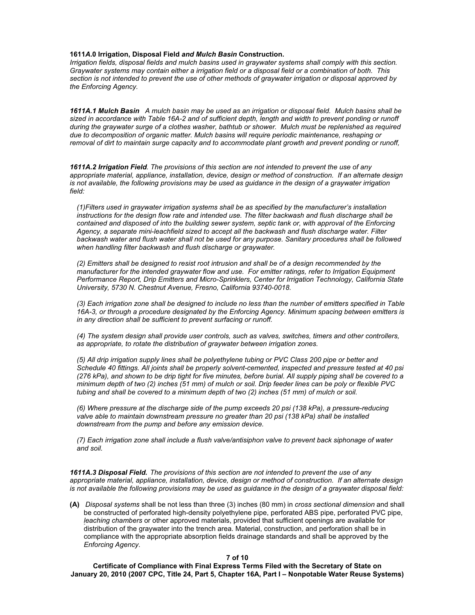# **1611***A***.0 Irrigation, Disposal Field** *and Mulch Basin* **Construction.**

*Irrigation fields, disposal fields and mulch basins used in graywater systems shall comply with this section. Graywater systems may contain either a irrigation field or a disposal field or a combination of both. This section is not intended to prevent the use of other methods of graywater irrigation or disposal approved by the Enforcing Agency.* 

*1611A.1 Mulch Basin A mulch basin may be used as an irrigation or disposal field. Mulch basins shall be*  sized in accordance with Table 16A-2 and of sufficient depth, length and width to prevent ponding or runoff during the graywater surge of a clothes washer, bathtub or shower. Mulch must be replenished as required *due to decomposition of organic matter. Mulch basins will require periodic maintenance, reshaping or removal of dirt to maintain surge capacity and to accommodate plant growth and prevent ponding or runoff,*

*1611A.2 Irrigation Field. The provisions of this section are not intended to prevent the use of any appropriate material, appliance, installation, device, design or method of construction. If an alternate design is not available, the following provisions may be used as guidance in the design of a graywater irrigation field:*

*(1)Filters used in graywater irrigation systems shall be as specified by the manufacturer's installation instructions for the design flow rate and intended use. The filter backwash and flush discharge shall be contained and disposed of into the building sewer system, septic tank or, with approval of the Enforcing Agency, a separate mini-leachfield sized to accept all the backwash and flush discharge water. Filter backwash water and flush water shall not be used for any purpose. Sanitary procedures shall be followed when handling filter backwash and flush discharge or graywater.* 

*(2) Emitters shall be designed to resist root intrusion and shall be of a design recommended by the manufacturer for the intended graywater flow and use. For emitter ratings, refer to Irrigation Equipment Performance Report, Drip Emitters and Micro-Sprinklers, Center for Irrigation Technology, California State University, 5730 N. Chestnut Avenue, Fresno, California 93740-0018.* 

*(3) Each irrigation zone shall be designed to include no less than the number of emitters specified in Table 16A-3, or through a procedure designated by the Enforcing Agency. Minimum spacing between emitters is in any direction shall be sufficient to prevent surfacing or runoff.* 

*(4) The system design shall provide user controls, such as valves, switches, timers and other controllers, as appropriate, to rotate the distribution of graywater between irrigation zones.* 

*(5) All drip irrigation supply lines shall be polyethylene tubing or PVC Class 200 pipe or better and Schedule 40 fittings. All joints shall be properly solvent-cemented, inspected and pressure tested at 40 psi (276 kPa), and shown to be drip tight for five minutes, before burial. All supply piping shall be covered to a minimum depth of two (2) inches (51 mm) of mulch or soil. Drip feeder lines can be poly or flexible PVC tubing and shall be covered to a minimum depth of two (2) inches (51 mm) of mulch or soil.* 

*(6) Where pressure at the discharge side of the pump exceeds 20 psi (138 kPa), a pressure-reducing valve able to maintain downstream pressure no greater than 20 psi (138 kPa) shall be installed downstream from the pump and before any emission device.* 

*(7) Each irrigation zone shall include a flush valve/antisiphon valve to prevent back siphonage of water and soil.* 

*1611A.3 Disposal Field. The provisions of this section are not intended to prevent the use of any appropriate material, appliance, installation, device, design or method of construction. If an alternate design is not available the following provisions may be used as guidance in the design of a graywater disposal field:* 

**(A)** *Disposal systems* shall be not less than three (3) inches (80 mm) in *cross sectional dimension* and shall be constructed of perforated high-density polyethylene pipe, perforated ABS pipe, perforated PVC pipe, *leaching chambers* or other approved materials, provided that sufficient openings are available for distribution of the graywater into the trench area. Material, construction, and perforation shall be in compliance with the appropriate absorption fields drainage standards and shall be approved by the *Enforcing Agency*.

#### **7 of 10**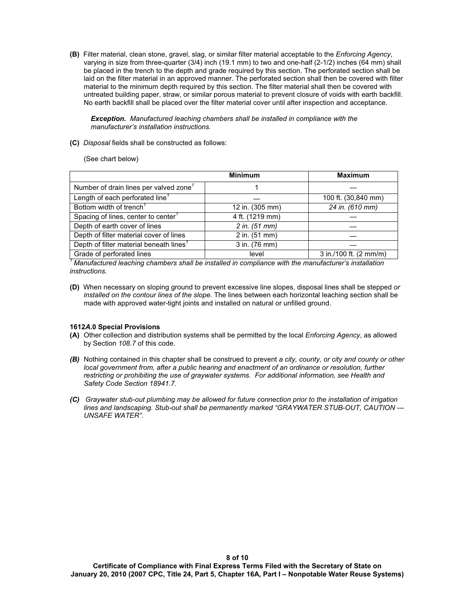**(B)** Filter material, clean stone, gravel, slag, or similar filter material acceptable to the *Enforcing Agency*, varying in size from three-quarter (3/4) inch (19.1 mm) to two and one-half (2-1/2) inches (64 mm) shall be placed in the trench to the depth and grade required by this section. The perforated section shall be laid on the filter material in an approved manner. The perforated section shall then be covered with filter material to the minimum depth required by this section. The filter material shall then be covered with untreated building paper, straw, or similar porous material to prevent closure of voids with earth backfill. No earth backfill shall be placed over the filter material cover until after inspection and acceptance.

*Exception. Manufactured leaching chambers shall be installed in compliance with the manufacturer's installation instructions.* 

**(C)** *Disposal* fields shall be constructed as follows:

(See chart below)

|                                                     | <b>Minimum</b>  | <b>Maximum</b>                   |
|-----------------------------------------------------|-----------------|----------------------------------|
| Number of drain lines per valved zone <sup>7</sup>  |                 |                                  |
| Length of each perforated line <sup>7</sup>         |                 | 100 ft. (30,840 mm)              |
| Bottom width of trench <sup>7</sup>                 | 12 in. (305 mm) | 24 in. (610 mm)                  |
| Spacing of lines, center to center <sup>7</sup>     | 4 ft. (1219 mm) |                                  |
| Depth of earth cover of lines                       | 2 in. (51 mm)   |                                  |
| Depth of filter material cover of lines             | 2 in. (51 mm)   |                                  |
| Depth of filter material beneath lines <sup>7</sup> | 3 in. (76 mm)   |                                  |
| Grade of perforated lines                           | level           | 3 in./100 ft. $(2 \text{ mm/m})$ |

*<sup>1</sup> Manufactured leaching chambers shall be installed in compliance with the manufacturer's installation instructions.*

**(D)** When necessary on sloping ground to prevent excessive line slopes, disposal lines shall be stepped *or installed on the contour lines of the slope.* The lines between each horizontal leaching section shall be made with approved water-tight joints and installed on natural or unfilled ground.

## **1612***A***.0 Special Provisions**

- **(A)** Other collection and distribution systems shall be permitted by the local *Enforcing Agency*, as allowed by Section *108.7* of this code.
- *(B)* Nothing contained in this chapter shall be construed to prevent *a city, county, or city and county or other local government from, after a public hearing and enactment of an ordinance or resolution, further restricting or prohibiting the use of graywater systems. For additional information, see Health and Safety Code Section 18941.7.*
- *(C) Graywater stub-out plumbing may be allowed for future connection prior to the installation of irrigation lines and landscaping. Stub-out shall be permanently marked "GRAYWATER STUB-OUT, CAUTION --- UNSAFE WATER".*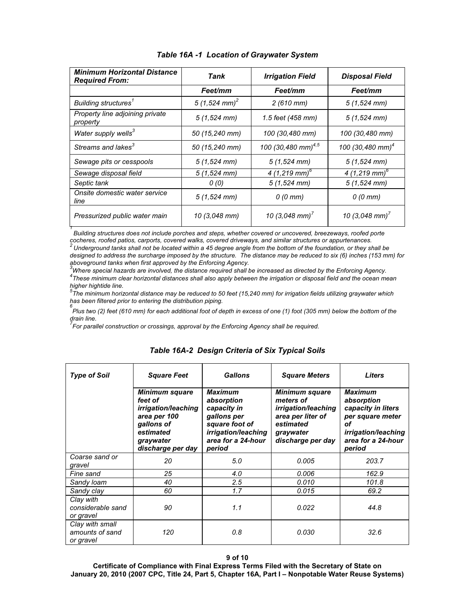| <b>Minimum Horizontal Distance</b><br><b>Required From:</b> | Tank                        | <b>Irrigation Field</b>                      | <b>Disposal Field</b>        |
|-------------------------------------------------------------|-----------------------------|----------------------------------------------|------------------------------|
|                                                             | Feet/mm                     | Feet/mm                                      | Feet/mm                      |
| Building structures <sup>1</sup>                            | 5 $(1,524$ mm) <sup>2</sup> | $2(610$ mm $)$                               | $5(1,524$ mm)                |
| Property line adjoining private<br>property                 | $5(1,524$ mm)               | 1.5 feet (458 mm)                            | $5(1,524$ mm)                |
| Water supply wells <sup>3</sup>                             | 50 (15,240 mm)              | 100 (30,480 mm)                              | 100 (30,480 mm)              |
| Streams and lakes <sup>3</sup>                              | 50 (15,240 mm)              | 100 (30,480 mm) <sup>4,5</sup>               | 100 (30,480 mm) <sup>4</sup> |
| Sewage pits or cesspools                                    | $5(1,524$ mm)               | $5(1,524$ mm)                                | $5(1,524$ mm)                |
| Sewage disposal field                                       | $5(1,524$ mm)               | 4 (1,219 mm) <sup>6</sup>                    | 4 (1,219 mm) <sup>6</sup>    |
| Septic tank                                                 | 0(0)                        | $5(1,524$ mm)                                | $5(1,524$ mm)                |
| Onsite domestic water service<br>line                       | $5(1,524$ mm)               | $0(0 \text{ mm})$                            | $0(0 \text{ mm})$            |
| Pressurized public water main                               | 10 (3,048 mm)               | 10 (3,048 mm) <sup><math>\prime</math></sup> | 10 (3,048 mm) <sup>7</sup>   |

# *Table 16A -1 Location of Graywater System*

*1 Building structures does not include porches and steps, whether covered or uncovered, breezeways, roofed porte cocheres, roofed patios, carports, covered walks, covered driveways, and similar structures or appurtenances.* 

*<sup>2</sup> Underground tanks shall not be located within a 45 degree angle from the bottom of the foundation, or they shall be designed to address the surcharge imposed by the structure. The distance may be reduced to six (6) inches (153 mm) for* 

aboveground tanks when first approved by the Enforcing Agency.<br><sup>3</sup>Where special hazards are involved, the distance required shall be increased as directed by the Enforcing Agency. *4 These minimum clear horizontal distances shall also apply between the irrigation or disposal field and the ocean mean* 

*higher hightide line. 5 The minimum horizontal distance may be reduced to 50 feet (15,240 mm) for irrigation fields utilizing graywater which has been filtered prior to entering the distribution piping.* 

*6 Plus two (2) feet (610 mm) for each additional foot of depth in excess of one (1) foot (305 mm) below the bottom of the drain line.* 

*7 For parallel construction or crossings, approval by the Enforcing Agency shall be required.* 

| <b>Type of Soil</b>                             | <b>Square Feet</b><br><b>Minimum square</b><br>feet of<br>irrigation/leaching | <b>Gallons</b><br><b>Maximum</b><br>absorption<br>capacity in                                | <b>Square Meters</b><br><b>Minimum square</b><br>meters of<br><i>irrigation</i> /leaching | <b>Liters</b><br><b>Maximum</b><br>absorption<br>capacity in liters           |
|-------------------------------------------------|-------------------------------------------------------------------------------|----------------------------------------------------------------------------------------------|-------------------------------------------------------------------------------------------|-------------------------------------------------------------------------------|
|                                                 | area per 100<br>gallons of<br>estimated<br>graywater<br>discharge per day     | gallons per<br>square foot of<br><i>irrigation</i> /leaching<br>area for a 24-hour<br>period | area per liter of<br>estimated<br>graywater<br>discharge per day                          | per square meter<br>оf<br>irrigation/leaching<br>area for a 24-hour<br>period |
| Coarse sand or<br>gravel                        | 20                                                                            | 5.0                                                                                          | 0.005                                                                                     | 203.7                                                                         |
| Fine sand                                       | 25                                                                            | 4.0                                                                                          | 0.006                                                                                     | 162.9                                                                         |
| Sandy loam                                      | 40                                                                            | 2.5                                                                                          | 0.010                                                                                     | 101.8                                                                         |
| Sandy clay                                      | 60                                                                            | 1.7                                                                                          | 0.015                                                                                     | 69.2                                                                          |
| Clay with<br>considerable sand<br>or gravel     | 90                                                                            | 1.1                                                                                          | 0.022                                                                                     | 44.8                                                                          |
| Clay with small<br>amounts of sand<br>or gravel | 120                                                                           | 0.8                                                                                          | 0.030                                                                                     | 32.6                                                                          |

# *Table 16A-2 Design Criteria of Six Typical Soils*

## **9 of 10**